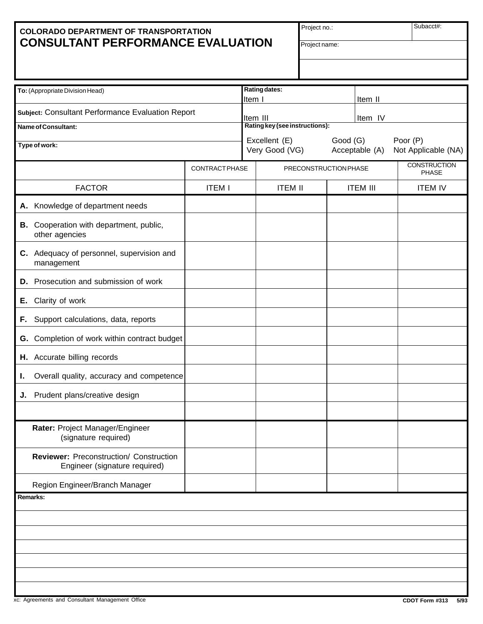# **COLORADO DEPARTMENT OF TRANSPORTATION CONSULTANT PERFORMANCE EVALUATION**

Project no.:

Subacct#:

| To: (Appropriate Division Head)                                          |                       |                                                                                                  | Rating dates:<br>Item I<br>Item II |  |                 |                                     |  |
|--------------------------------------------------------------------------|-----------------------|--------------------------------------------------------------------------------------------------|------------------------------------|--|-----------------|-------------------------------------|--|
| Subject: Consultant Performance Evaluation Report                        |                       | Item IV<br>Item III                                                                              |                                    |  |                 |                                     |  |
| Name of Consultant:                                                      |                       | Rating key (see instructions):                                                                   |                                    |  |                 |                                     |  |
| Type of work:                                                            |                       | Excellent (E)<br>Good (G)<br>Poor (P)<br>Very Good (VG)<br>Acceptable (A)<br>Not Applicable (NA) |                                    |  |                 |                                     |  |
|                                                                          | <b>CONTRACT PHASE</b> |                                                                                                  | PRECONSTRUCTION PHASE              |  |                 | <b>CONSTRUCTION</b><br><b>PHASE</b> |  |
| <b>FACTOR</b>                                                            | <b>ITEM I</b>         |                                                                                                  | <b>ITEM II</b>                     |  | <b>ITEM III</b> | <b>ITEM IV</b>                      |  |
| A. Knowledge of department needs                                         |                       |                                                                                                  |                                    |  |                 |                                     |  |
| B. Cooperation with department, public,<br>other agencies                |                       |                                                                                                  |                                    |  |                 |                                     |  |
| C. Adequacy of personnel, supervision and<br>management                  |                       |                                                                                                  |                                    |  |                 |                                     |  |
| Prosecution and submission of work<br>D.                                 |                       |                                                                                                  |                                    |  |                 |                                     |  |
| Clarity of work<br>Е.                                                    |                       |                                                                                                  |                                    |  |                 |                                     |  |
| Support calculations, data, reports<br>F.                                |                       |                                                                                                  |                                    |  |                 |                                     |  |
| G. Completion of work within contract budget                             |                       |                                                                                                  |                                    |  |                 |                                     |  |
| H. Accurate billing records                                              |                       |                                                                                                  |                                    |  |                 |                                     |  |
| Overall quality, accuracy and competence<br>ι.                           |                       |                                                                                                  |                                    |  |                 |                                     |  |
| Prudent plans/creative design<br>J.                                      |                       |                                                                                                  |                                    |  |                 |                                     |  |
| Rater: Project Manager/Engineer<br>(signature required)                  |                       |                                                                                                  |                                    |  |                 |                                     |  |
| Reviewer: Preconstruction/ Construction<br>Engineer (signature required) |                       |                                                                                                  |                                    |  |                 |                                     |  |
| Region Engineer/Branch Manager                                           |                       |                                                                                                  |                                    |  |                 |                                     |  |
| Remarks:                                                                 |                       |                                                                                                  |                                    |  |                 |                                     |  |
|                                                                          |                       |                                                                                                  |                                    |  |                 |                                     |  |
|                                                                          |                       |                                                                                                  |                                    |  |                 |                                     |  |
|                                                                          |                       |                                                                                                  |                                    |  |                 |                                     |  |
|                                                                          |                       |                                                                                                  |                                    |  |                 |                                     |  |
|                                                                          |                       |                                                                                                  |                                    |  |                 |                                     |  |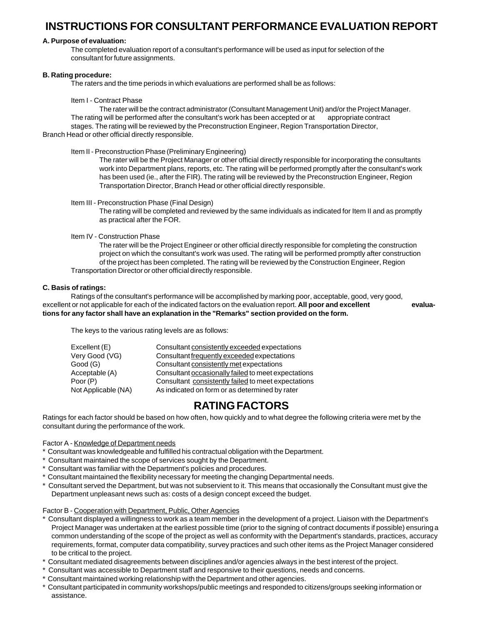# **INSTRUCTIONS FOR CONSULTANT PERFORMANCE EVALUATION REPORT**

### **A. Purpose of evaluation:**

The completed evaluation report of a consultant's performance will be used as input for selection of the consultant for future assignments.

### **B. Rating procedure:**

The raters and the time periods in which evaluations are performed shall be as follows:

Item I - Contract Phase

The rater will be the contract administrator (Consultant Management Unit) and/or the Project Manager. The rating will be performed after the consultant's work has been accepted or at appropriate contract stages. The rating will be reviewed by the Preconstruction Engineer, Region Transportation Director, Branch Head or other official directly responsible.

Item II - Preconstruction Phase (Preliminary Engineering)

The rater will be the Project Manager or other official directly responsible for incorporating the consultants work into Department plans, reports, etc. The rating will be performed promptly after the consultant's work has been used (ie., after the FIR). The rating will be reviewed by the Preconstruction Engineer, Region Transportation Director, Branch Head or other official directly responsible.

Item III - Preconstruction Phase (Final Design)

The rating will be completed and reviewed by the same individuals as indicated for Item II and as promptly as practical after the FOR.

Item IV - Construction Phase

The rater will be the Project Engineer or other official directly responsible for completing the construction project on which the consultant's work was used. The rating will be performed promptly after construction of the project has been completed. The rating will be reviewed by the Construction Engineer, Region Transportation Director or other official directly responsible.

### **C. Basis of ratings:**

Ratings of the consultant's performance will be accomplished by marking poor, acceptable, good, very good, excellent or not applicable for each of the indicated factors on the evaluation report. **All poor and excellent evaluations for any factor shall have an explanation in the "Remarks" section provided on the form.**

The keys to the various rating levels are as follows:

| Excellent (E)       | Consultant consistently exceeded expectations       |
|---------------------|-----------------------------------------------------|
| Very Good (VG)      | Consultant frequently exceeded expectations         |
| Good (G)            | Consultant consistently met expectations            |
| Acceptable (A)      | Consultant occasionally failed to meet expectations |
| Poor (P)            | Consultant consistently failed to meet expectations |
| Not Applicable (NA) | As indicated on form or as determined by rater      |
|                     |                                                     |

# **RATING FACTORS**

Ratings for each factor should be based on how often, how quickly and to what degree the following criteria were met by the consultant during the performance of the work.

### Factor A - Knowledge of Department needs

- \* Consultant was knowledgeable and fulfilled his contractual obligation with the Department.
- \* Consultant maintained the scope of services sought by the Department.
- \* Consultant was familiar with the Department's policies and procedures.
- Consultant maintained the flexibility necessary for meeting the changing Departmental needs.
- Consultant served the Department, but was not subservient to it. This means that occasionally the Consultant must give the Department unpleasant news such as: costs of a design concept exceed the budget.

Factor B - Cooperation with Department, Public, Other Agencies

- Consultant displayed a willingness to work as a team member in the development of a project. Liaison with the Department's Project Manager was undertaken at the earliest possible time (prior to the signing of contract documents if possible) ensuring a common understanding of the scope of the project as well as conformity with the Department's standards, practices, accuracy requirements, format, computer data compatibility, survey practices and such other items as the Project Manager considered to be critical to the project.
- \* Consultant mediated disagreements between disciplines and/or agencies always in the best interest of the project.
- Consultant was accessible to Department staff and responsive to their questions, needs and concerns.
- Consultant maintained working relationship with the Department and other agencies.
- \* Consultant participated in community workshops/public meetings and responded to citizens/groups seeking information or assistance.